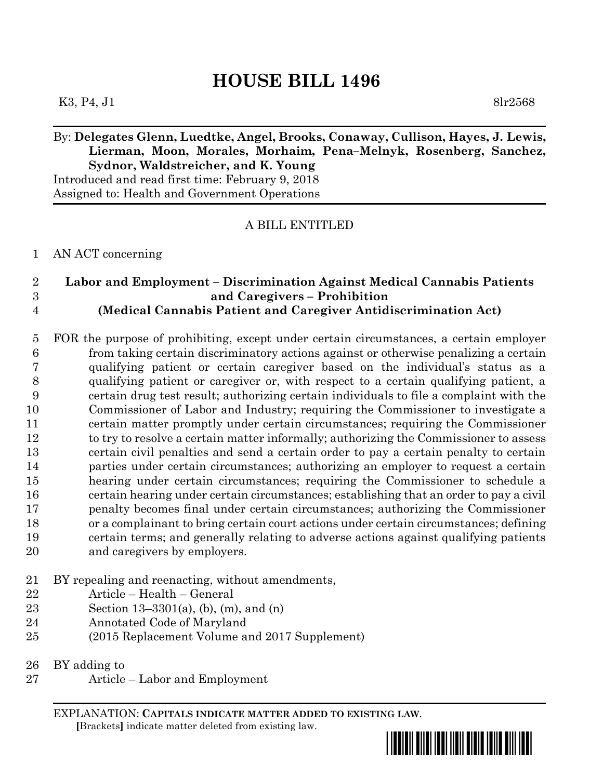# **HOUSE BILL 1496**

## By: **Delegates Glenn, Luedtke, Angel, Brooks, Conaway, Cullison, Hayes, J. Lewis, Lierman, Moon, Morales, Morhaim, Pena–Melnyk, Rosenberg, Sanchez, Sydnor, Waldstreicher, and K. Young**

Introduced and read first time: February 9, 2018 Assigned to: Health and Government Operations

### A BILL ENTITLED

#### AN ACT concerning

#### **Labor and Employment – Discrimination Against Medical Cannabis Patients and Caregivers – Prohibition (Medical Cannabis Patient and Caregiver Antidiscrimination Act)**

 FOR the purpose of prohibiting, except under certain circumstances, a certain employer from taking certain discriminatory actions against or otherwise penalizing a certain qualifying patient or certain caregiver based on the individual's status as a qualifying patient or caregiver or, with respect to a certain qualifying patient, a certain drug test result; authorizing certain individuals to file a complaint with the Commissioner of Labor and Industry; requiring the Commissioner to investigate a certain matter promptly under certain circumstances; requiring the Commissioner 12 to try to resolve a certain matter informally; authorizing the Commissioner to assess certain civil penalties and send a certain order to pay a certain penalty to certain parties under certain circumstances; authorizing an employer to request a certain hearing under certain circumstances; requiring the Commissioner to schedule a certain hearing under certain circumstances; establishing that an order to pay a civil penalty becomes final under certain circumstances; authorizing the Commissioner or a complainant to bring certain court actions under certain circumstances; defining certain terms; and generally relating to adverse actions against qualifying patients and caregivers by employers.

- BY repealing and reenacting, without amendments,
- Article Health General
- Section 13–3301(a), (b), (m), and (n)
- Annotated Code of Maryland
- (2015 Replacement Volume and 2017 Supplement)

BY adding to

Article – Labor and Employment

EXPLANATION: **CAPITALS INDICATE MATTER ADDED TO EXISTING LAW**.  **[**Brackets**]** indicate matter deleted from existing law.

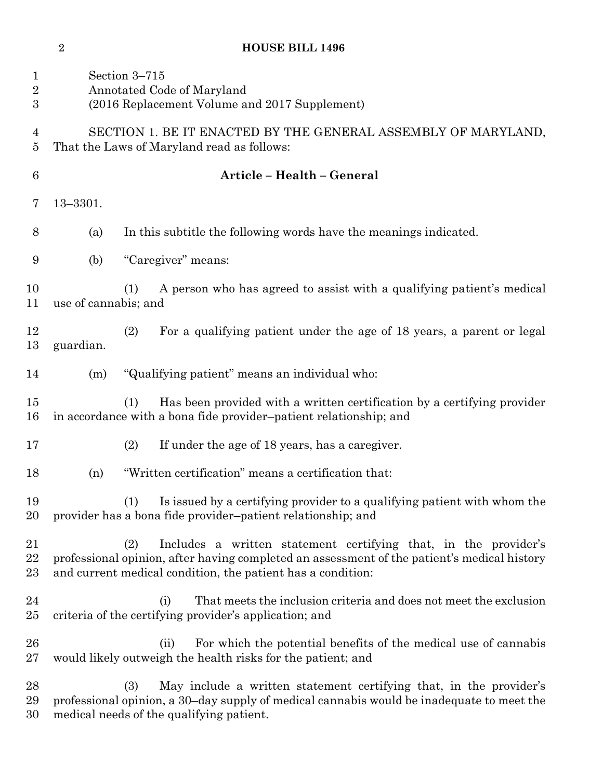## **HOUSE BILL 1496**

| $\mathbf{1}$<br>$\overline{\mathbf{2}}$<br>$\boldsymbol{3}$ | Section 3-715<br>Annotated Code of Maryland<br>(2016 Replacement Volume and 2017 Supplement)                                                                                                                                         |  |
|-------------------------------------------------------------|--------------------------------------------------------------------------------------------------------------------------------------------------------------------------------------------------------------------------------------|--|
| $\overline{4}$<br>5                                         | SECTION 1. BE IT ENACTED BY THE GENERAL ASSEMBLY OF MARYLAND,<br>That the Laws of Maryland read as follows:                                                                                                                          |  |
| $\boldsymbol{6}$                                            | Article - Health - General                                                                                                                                                                                                           |  |
| 7                                                           | $13 - 3301.$                                                                                                                                                                                                                         |  |
| 8                                                           | In this subtitle the following words have the meanings indicated.<br>(a)                                                                                                                                                             |  |
| 9                                                           | "Caregiver" means:<br>(b)                                                                                                                                                                                                            |  |
| 10<br>11                                                    | A person who has agreed to assist with a qualifying patient's medical<br>(1)<br>use of cannabis; and                                                                                                                                 |  |
| 12<br>13                                                    | (2)<br>For a qualifying patient under the age of 18 years, a parent or legal<br>guardian.                                                                                                                                            |  |
| 14                                                          | "Qualifying patient" means an individual who:<br>(m)                                                                                                                                                                                 |  |
| 15<br>16                                                    | Has been provided with a written certification by a certifying provider<br>(1)<br>in accordance with a bona fide provider-patient relationship; and                                                                                  |  |
| 17                                                          | (2)<br>If under the age of 18 years, has a caregiver.                                                                                                                                                                                |  |
| 18                                                          | "Written certification" means a certification that:<br>(n)                                                                                                                                                                           |  |
| 19<br>20                                                    | Is issued by a certifying provider to a qualifying patient with whom the<br>(1)<br>provider has a bona fide provider-patient relationship; and                                                                                       |  |
| 21<br>22<br>$23\,$                                          | Includes a written statement certifying that, in the provider's<br>(2)<br>professional opinion, after having completed an assessment of the patient's medical history<br>and current medical condition, the patient has a condition: |  |
| 24<br>$25\,$                                                | That meets the inclusion criteria and does not meet the exclusion<br>(i)<br>criteria of the certifying provider's application; and                                                                                                   |  |
| $26\,$<br>$27\,$                                            | For which the potential benefits of the medical use of cannabis<br>(ii)<br>would likely outweigh the health risks for the patient; and                                                                                               |  |
| 28<br>29                                                    | May include a written statement certifying that, in the provider's<br>(3)<br>professional opinion, a 30-day supply of medical cannabis would be inadequate to meet the                                                               |  |

medical needs of the qualifying patient.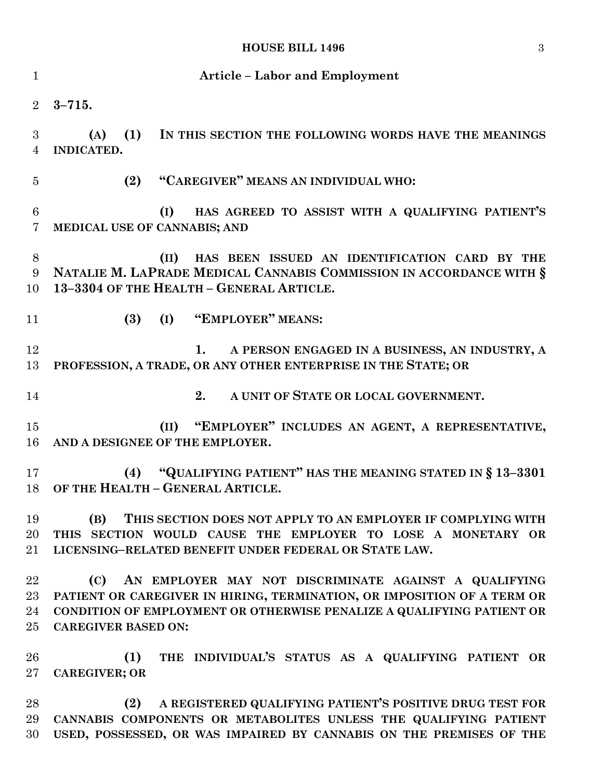## **HOUSE BILL 1496** 3

| $\mathbf{1}$                 | <b>Article - Labor and Employment</b>                                                                                                                                                                                                          |
|------------------------------|------------------------------------------------------------------------------------------------------------------------------------------------------------------------------------------------------------------------------------------------|
| $\overline{2}$               | $3 - 715.$                                                                                                                                                                                                                                     |
| 3<br>4                       | (1)<br>IN THIS SECTION THE FOLLOWING WORDS HAVE THE MEANINGS<br>(A)<br>INDICATED.                                                                                                                                                              |
| $\overline{5}$               | "CAREGIVER" MEANS AN INDIVIDUAL WHO:<br>(2)                                                                                                                                                                                                    |
| $6\phantom{.}6$<br>7         | HAS AGREED TO ASSIST WITH A QUALIFYING PATIENT'S<br>(I)<br>MEDICAL USE OF CANNABIS; AND                                                                                                                                                        |
| 8<br>9<br>10                 | HAS BEEN ISSUED AN IDENTIFICATION CARD BY THE<br>(II)<br>NATALIE M. LAPRADE MEDICAL CANNABIS COMMISSION IN ACCORDANCE WITH §<br>13-3304 OF THE HEALTH - GENERAL ARTICLE.                                                                       |
| 11                           | (I) "EMPLOYER" MEANS:<br>(3)                                                                                                                                                                                                                   |
| 12<br>13                     | A PERSON ENGAGED IN A BUSINESS, AN INDUSTRY, A<br>1.<br>PROFESSION, A TRADE, OR ANY OTHER ENTERPRISE IN THE STATE; OR                                                                                                                          |
| 14                           | 2.<br>A UNIT OF STATE OR LOCAL GOVERNMENT.                                                                                                                                                                                                     |
| 15<br>16                     | (II) "EMPLOYER" INCLUDES AN AGENT, A REPRESENTATIVE,<br>AND A DESIGNEE OF THE EMPLOYER.                                                                                                                                                        |
| 17<br>18                     | "QUALIFYING PATIENT" HAS THE MEANING STATED IN §13-3301<br>(4)<br>OF THE HEALTH - GENERAL ARTICLE.                                                                                                                                             |
| 19<br>$20\,$<br>$21\,$       | (B)<br>THIS SECTION DOES NOT APPLY TO AN EMPLOYER IF COMPLYING WITH<br>THIS SECTION WOULD CAUSE THE EMPLOYER TO LOSE A MONETARY OR<br>LICENSING-RELATED BENEFIT UNDER FEDERAL OR STATE LAW.                                                    |
| 22<br>$23\,$<br>24<br>$25\,$ | AN EMPLOYER MAY NOT DISCRIMINATE AGAINST A QUALIFYING<br>(C)<br>PATIENT OR CAREGIVER IN HIRING, TERMINATION, OR IMPOSITION OF A TERM OR<br>CONDITION OF EMPLOYMENT OR OTHERWISE PENALIZE A QUALIFYING PATIENT OR<br><b>CAREGIVER BASED ON:</b> |
| 26<br>$27\,$                 | THE INDIVIDUAL'S STATUS AS A QUALIFYING PATIENT OR<br>(1)<br><b>CAREGIVER; OR</b>                                                                                                                                                              |
| 28<br>29<br>30               | A REGISTERED QUALIFYING PATIENT'S POSITIVE DRUG TEST FOR<br>(2)<br>CANNABIS COMPONENTS OR METABOLITES UNLESS THE QUALIFYING PATIENT<br>USED, POSSESSED, OR WAS IMPAIRED BY CANNABIS ON THE PREMISES OF THE                                     |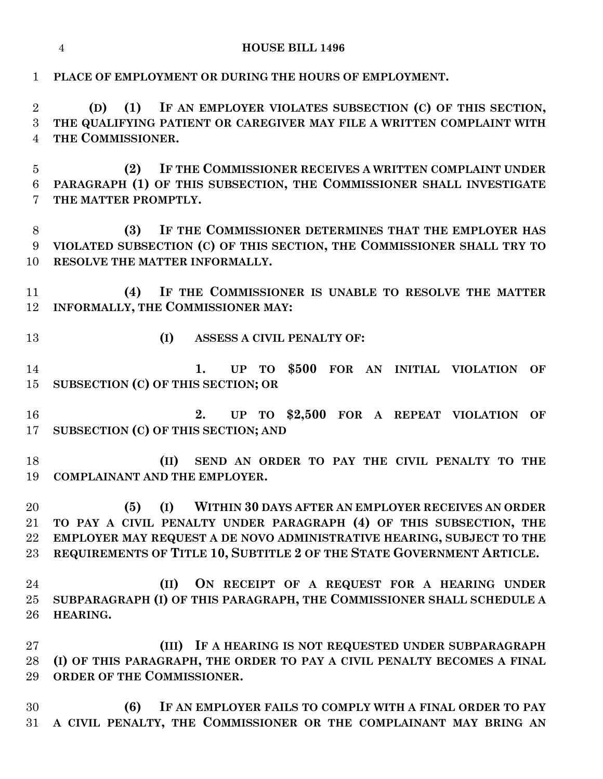| $\mathbf 1$                            | PLACE OF EMPLOYMENT OR DURING THE HOURS OF EMPLOYMENT.                                                                                                                                                                                                                                   |
|----------------------------------------|------------------------------------------------------------------------------------------------------------------------------------------------------------------------------------------------------------------------------------------------------------------------------------------|
| $\overline{2}$<br>3<br>$\overline{4}$  | (1) IF AN EMPLOYER VIOLATES SUBSECTION (C) OF THIS SECTION,<br>(D)<br>THE QUALIFYING PATIENT OR CAREGIVER MAY FILE A WRITTEN COMPLAINT WITH<br>THE COMMISSIONER.                                                                                                                         |
| $\overline{5}$<br>$6\phantom{.}6$<br>7 | IF THE COMMISSIONER RECEIVES A WRITTEN COMPLAINT UNDER<br>(2)<br>PARAGRAPH (1) OF THIS SUBSECTION, THE COMMISSIONER SHALL INVESTIGATE<br>THE MATTER PROMPTLY.                                                                                                                            |
| 8<br>9<br>10                           | IF THE COMMISSIONER DETERMINES THAT THE EMPLOYER HAS<br>(3)<br>VIOLATED SUBSECTION (C) OF THIS SECTION, THE COMMISSIONER SHALL TRY TO<br>RESOLVE THE MATTER INFORMALLY.                                                                                                                  |
| 11<br>12                               | (4)<br>IF THE COMMISSIONER IS UNABLE TO RESOLVE THE MATTER<br>INFORMALLY, THE COMMISSIONER MAY:                                                                                                                                                                                          |
| 13                                     | (I)<br>ASSESS A CIVIL PENALTY OF:                                                                                                                                                                                                                                                        |
| 14<br>15                               | UP TO \$500 FOR AN INITIAL VIOLATION OF<br>1.<br>SUBSECTION (C) OF THIS SECTION; OR                                                                                                                                                                                                      |
| 16<br>17                               | UP TO \$2,500 FOR A REPEAT VIOLATION<br>2.<br>OF<br>SUBSECTION (C) OF THIS SECTION; AND                                                                                                                                                                                                  |
| 18<br>19                               | SEND AN ORDER TO PAY THE CIVIL PENALTY TO THE<br>(II)<br><b>COMPLAINANT AND THE EMPLOYER.</b>                                                                                                                                                                                            |
| 20<br>21<br>22<br>23                   | (I)<br>WITHIN 30 DAYS AFTER AN EMPLOYER RECEIVES AN ORDER<br>(5)<br>TO PAY A CIVIL PENALTY UNDER PARAGRAPH (4) OF THIS SUBSECTION, THE<br>EMPLOYER MAY REQUEST A DE NOVO ADMINISTRATIVE HEARING, SUBJECT TO THE<br>REQUIREMENTS OF TITLE 10, SUBTITLE 2 OF THE STATE GOVERNMENT ARTICLE. |
| 24<br>25<br>26                         | ON RECEIPT OF A REQUEST FOR A HEARING UNDER<br>(II)<br>SUBPARAGRAPH (I) OF THIS PARAGRAPH, THE COMMISSIONER SHALL SCHEDULE A<br>HEARING.                                                                                                                                                 |
| $27\,$<br>28<br>29                     | (III) IF A HEARING IS NOT REQUESTED UNDER SUBPARAGRAPH<br>(I) OF THIS PARAGRAPH, THE ORDER TO PAY A CIVIL PENALTY BECOMES A FINAL<br>ORDER OF THE COMMISSIONER.                                                                                                                          |
| 30<br>31                               | (6)<br>IF AN EMPLOYER FAILS TO COMPLY WITH A FINAL ORDER TO PAY<br>A CIVIL PENALTY, THE COMMISSIONER OR THE COMPLAINANT MAY BRING AN                                                                                                                                                     |

**HOUSE BILL 1496**